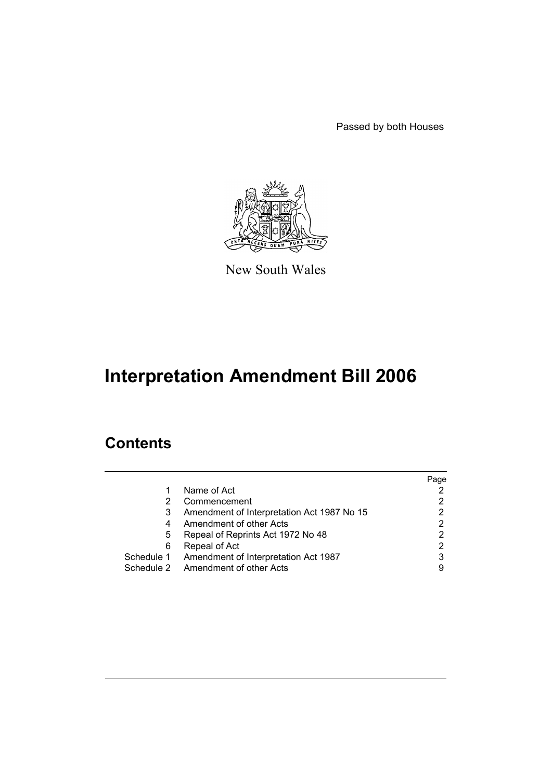Passed by both Houses



New South Wales

# **Interpretation Amendment Bill 2006**

# **Contents**

|   |                                                 | Page |
|---|-------------------------------------------------|------|
| 1 | Name of Act                                     |      |
| 2 | Commencement                                    |      |
| 3 | Amendment of Interpretation Act 1987 No 15      |      |
| 4 | Amendment of other Acts                         | 2    |
| 5 | Repeal of Reprints Act 1972 No 48               |      |
| 6 | Repeal of Act                                   | 2    |
|   | Schedule 1 Amendment of Interpretation Act 1987 | 3    |
|   | Schedule 2 Amendment of other Acts              | 9    |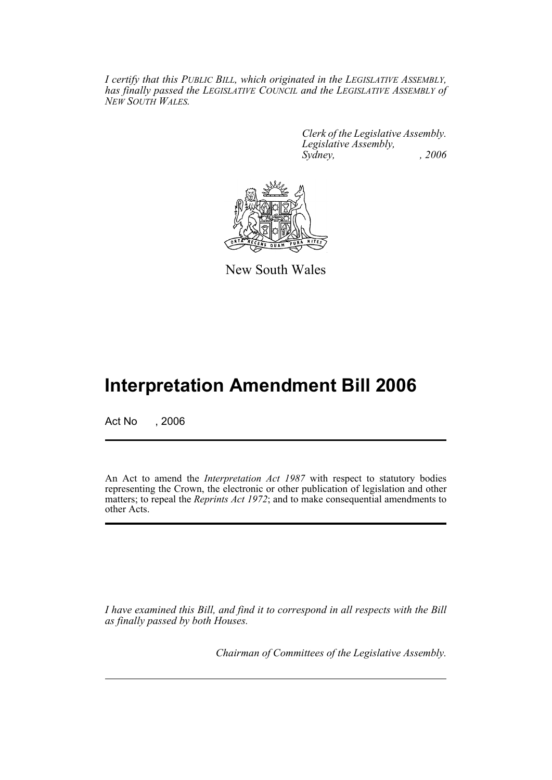*I certify that this PUBLIC BILL, which originated in the LEGISLATIVE ASSEMBLY, has finally passed the LEGISLATIVE COUNCIL and the LEGISLATIVE ASSEMBLY of NEW SOUTH WALES.*

> *Clerk of the Legislative Assembly. Legislative Assembly, Sydney, , 2006*



New South Wales

# **Interpretation Amendment Bill 2006**

Act No , 2006

An Act to amend the *Interpretation Act 1987* with respect to statutory bodies representing the Crown, the electronic or other publication of legislation and other matters; to repeal the *Reprints Act 1972*; and to make consequential amendments to other Acts.

*I have examined this Bill, and find it to correspond in all respects with the Bill as finally passed by both Houses.*

*Chairman of Committees of the Legislative Assembly.*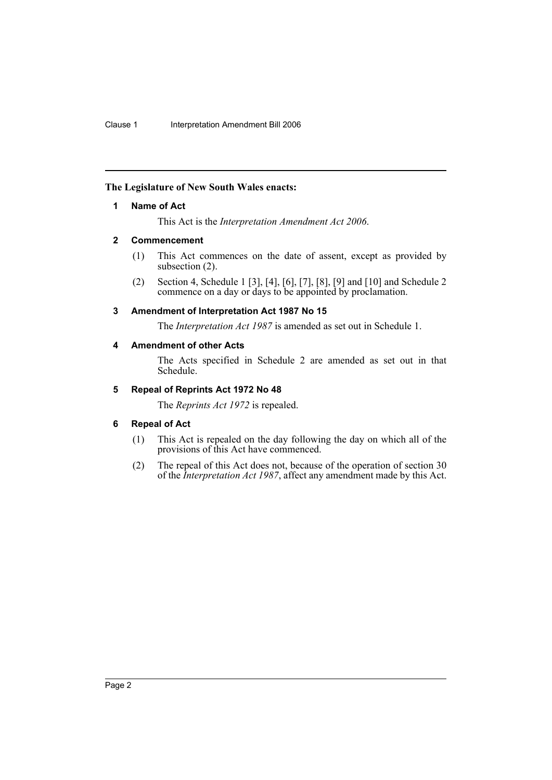## <span id="page-2-0"></span>**The Legislature of New South Wales enacts:**

### **1 Name of Act**

This Act is the *Interpretation Amendment Act 2006*.

### <span id="page-2-1"></span>**2 Commencement**

- (1) This Act commences on the date of assent, except as provided by subsection (2).
- (2) Section 4, Schedule 1 [3], [4], [6], [7], [8], [9] and [10] and Schedule 2 commence on a day or days to be appointed by proclamation.

### <span id="page-2-2"></span>**3 Amendment of Interpretation Act 1987 No 15**

The *Interpretation Act 1987* is amended as set out in Schedule 1.

### <span id="page-2-3"></span>**4 Amendment of other Acts**

The Acts specified in Schedule 2 are amended as set out in that Schedule.

# <span id="page-2-4"></span>**5 Repeal of Reprints Act 1972 No 48**

The *Reprints Act 1972* is repealed.

## <span id="page-2-5"></span>**6 Repeal of Act**

- (1) This Act is repealed on the day following the day on which all of the provisions of this Act have commenced.
- (2) The repeal of this Act does not, because of the operation of section 30 of the *Interpretation Act 1987*, affect any amendment made by this Act.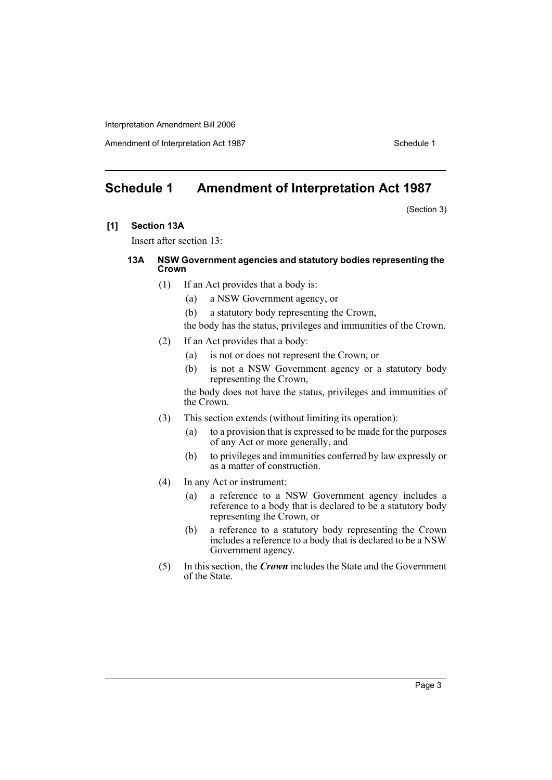Amendment of Interpretation Act 1987 Schedule 1

# <span id="page-3-0"></span>**Schedule 1 Amendment of Interpretation Act 1987**

(Section 3)

**[1] Section 13A**

Insert after section 13:

#### **13A NSW Government agencies and statutory bodies representing the Crown**

- (1) If an Act provides that a body is:
	- (a) a NSW Government agency, or
	- (b) a statutory body representing the Crown,

the body has the status, privileges and immunities of the Crown.

- (2) If an Act provides that a body:
	- (a) is not or does not represent the Crown, or
	- (b) is not a NSW Government agency or a statutory body representing the Crown,

the body does not have the status, privileges and immunities of the Crown.

- (3) This section extends (without limiting its operation):
	- (a) to a provision that is expressed to be made for the purposes of any Act or more generally, and
	- (b) to privileges and immunities conferred by law expressly or as a matter of construction.
- (4) In any Act or instrument:
	- (a) a reference to a NSW Government agency includes a reference to a body that is declared to be a statutory body representing the Crown, or
	- (b) a reference to a statutory body representing the Crown includes a reference to a body that is declared to be a NSW Government agency.
- (5) In this section, the *Crown* includes the State and the Government of the State.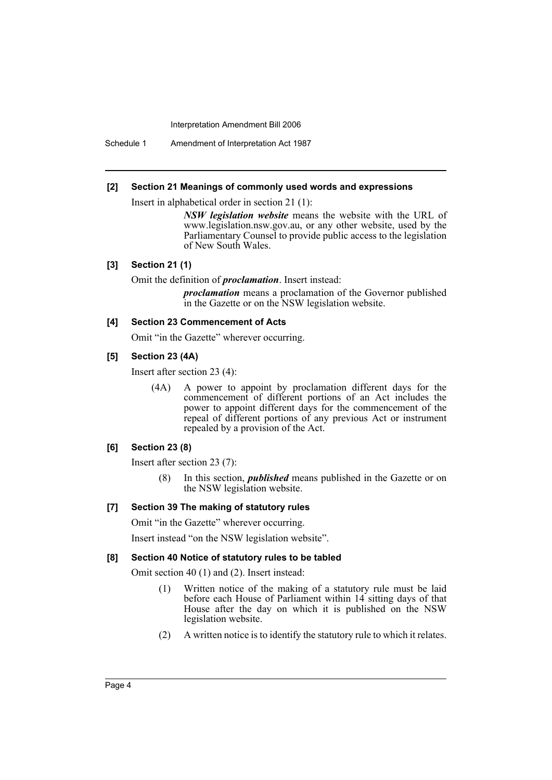Schedule 1 Amendment of Interpretation Act 1987

#### **[2] Section 21 Meanings of commonly used words and expressions**

Insert in alphabetical order in section 21 (1):

*NSW legislation website* means the website with the URL of www.legislation.nsw.gov.au, or any other website, used by the Parliamentary Counsel to provide public access to the legislation of New South Wales.

#### **[3] Section 21 (1)**

Omit the definition of *proclamation*. Insert instead:

*proclamation* means a proclamation of the Governor published in the Gazette or on the NSW legislation website.

#### **[4] Section 23 Commencement of Acts**

Omit "in the Gazette" wherever occurring.

#### **[5] Section 23 (4A)**

Insert after section 23 (4):

(4A) A power to appoint by proclamation different days for the commencement of different portions of an Act includes the power to appoint different days for the commencement of the repeal of different portions of any previous Act or instrument repealed by a provision of the Act.

#### **[6] Section 23 (8)**

Insert after section 23 (7):

(8) In this section, *published* means published in the Gazette or on the NSW legislation website.

#### **[7] Section 39 The making of statutory rules**

Omit "in the Gazette" wherever occurring.

Insert instead "on the NSW legislation website".

### **[8] Section 40 Notice of statutory rules to be tabled**

Omit section 40 (1) and (2). Insert instead:

- (1) Written notice of the making of a statutory rule must be laid before each House of Parliament within 14 sitting days of that House after the day on which it is published on the NSW legislation website.
- (2) A written notice is to identify the statutory rule to which it relates.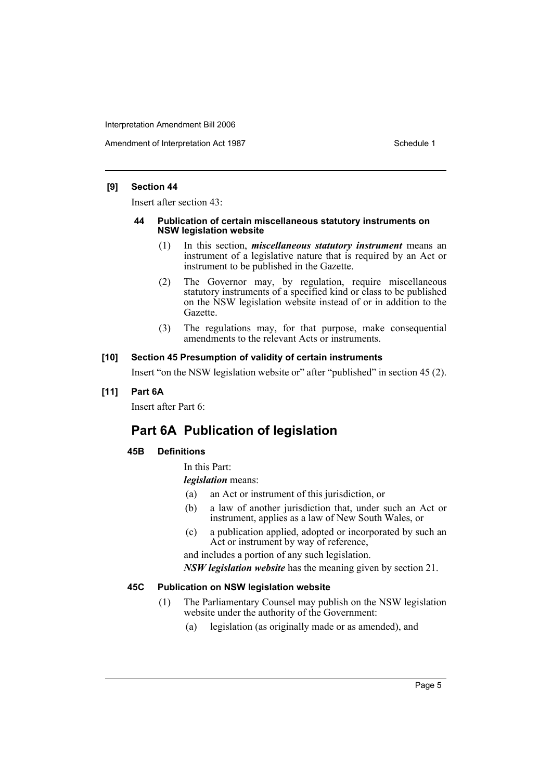Amendment of Interpretation Act 1987 Schedule 1

#### **[9] Section 44**

Insert after section 43:

#### **44 Publication of certain miscellaneous statutory instruments on NSW legislation website**

- (1) In this section, *miscellaneous statutory instrument* means an instrument of a legislative nature that is required by an Act or instrument to be published in the Gazette.
- (2) The Governor may, by regulation, require miscellaneous statutory instruments of a specified kind or class to be published on the NSW legislation website instead of or in addition to the Gazette.
- (3) The regulations may, for that purpose, make consequential amendments to the relevant Acts or instruments.

### **[10] Section 45 Presumption of validity of certain instruments**

Insert "on the NSW legislation website or" after "published" in section 45 (2).

# **[11] Part 6A**

Insert after Part 6:

# **Part 6A Publication of legislation**

## **45B Definitions**

In this Part:

*legislation* means:

- (a) an Act or instrument of this jurisdiction, or
- (b) a law of another jurisdiction that, under such an Act or instrument, applies as a law of New South Wales, or
- (c) a publication applied, adopted or incorporated by such an Act or instrument by way of reference,

and includes a portion of any such legislation.

*NSW legislation website* has the meaning given by section 21.

#### **45C Publication on NSW legislation website**

- (1) The Parliamentary Counsel may publish on the NSW legislation website under the authority of the Government:
	- (a) legislation (as originally made or as amended), and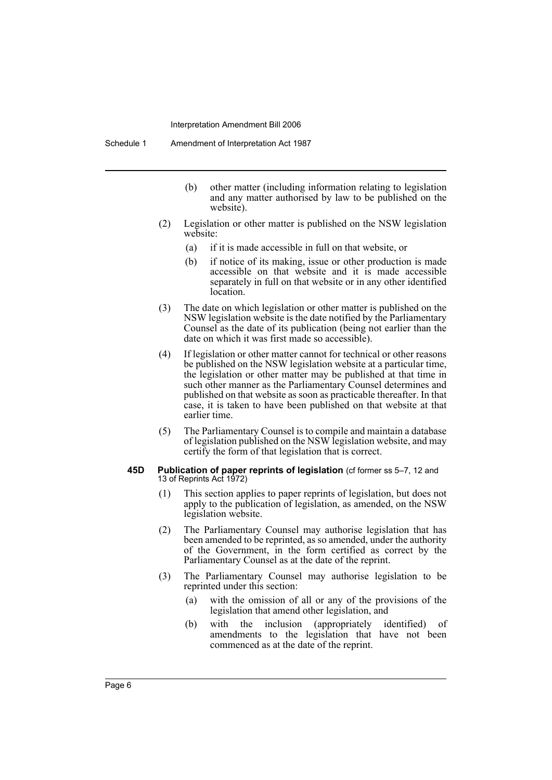Schedule 1 Amendment of Interpretation Act 1987

- (b) other matter (including information relating to legislation and any matter authorised by law to be published on the website).
- (2) Legislation or other matter is published on the NSW legislation website:
	- (a) if it is made accessible in full on that website, or
	- (b) if notice of its making, issue or other production is made accessible on that website and it is made accessible separately in full on that website or in any other identified location.
- (3) The date on which legislation or other matter is published on the NSW legislation website is the date notified by the Parliamentary Counsel as the date of its publication (being not earlier than the date on which it was first made so accessible).
- (4) If legislation or other matter cannot for technical or other reasons be published on the NSW legislation website at a particular time, the legislation or other matter may be published at that time in such other manner as the Parliamentary Counsel determines and published on that website as soon as practicable thereafter. In that case, it is taken to have been published on that website at that earlier time.
- (5) The Parliamentary Counsel is to compile and maintain a database of legislation published on the NSW legislation website, and may certify the form of that legislation that is correct.

#### **45D** Publication of paper reprints of legislation (cf former ss 5-7, 12 and 13 of Reprints Act 1972)

- (1) This section applies to paper reprints of legislation, but does not apply to the publication of legislation, as amended, on the NSW legislation website.
- (2) The Parliamentary Counsel may authorise legislation that has been amended to be reprinted, as so amended, under the authority of the Government, in the form certified as correct by the Parliamentary Counsel as at the date of the reprint.
- (3) The Parliamentary Counsel may authorise legislation to be reprinted under this section:
	- (a) with the omission of all or any of the provisions of the legislation that amend other legislation, and
	- (b) with the inclusion (appropriately identified) of amendments to the legislation that have not been commenced as at the date of the reprint.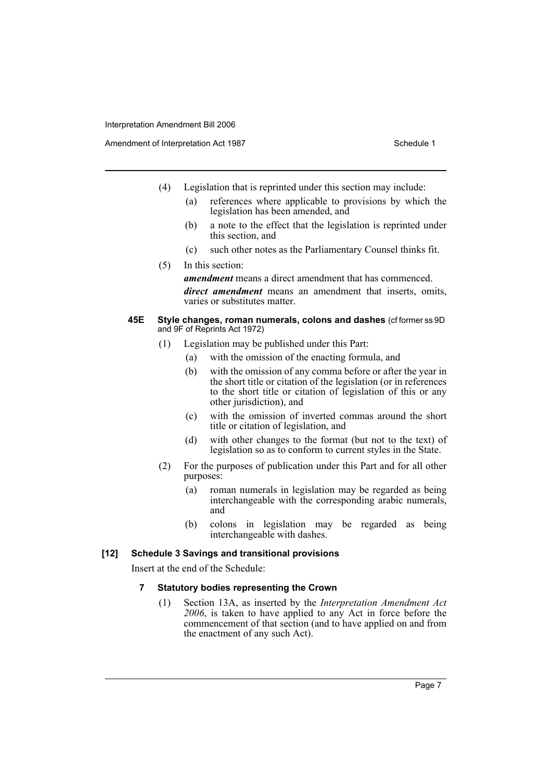- (4) Legislation that is reprinted under this section may include:
	- (a) references where applicable to provisions by which the legislation has been amended, and
	- (b) a note to the effect that the legislation is reprinted under this section, and
	- (c) such other notes as the Parliamentary Counsel thinks fit.
- (5) In this section: *amendment* means a direct amendment that has commenced. *direct amendment* means an amendment that inserts, omits, varies or substitutes matter.

#### **45E Style changes, roman numerals, colons and dashes** (cf former ss 9D and 9F of Reprints Act 1972)

- (1) Legislation may be published under this Part:
	- (a) with the omission of the enacting formula, and
	- (b) with the omission of any comma before or after the year in the short title or citation of the legislation (or in references to the short title or citation of legislation of this or any other jurisdiction), and
	- (c) with the omission of inverted commas around the short title or citation of legislation, and
	- (d) with other changes to the format (but not to the text) of legislation so as to conform to current styles in the State.
- (2) For the purposes of publication under this Part and for all other purposes:
	- (a) roman numerals in legislation may be regarded as being interchangeable with the corresponding arabic numerals, and
	- (b) colons in legislation may be regarded as being interchangeable with dashes.

#### **[12] Schedule 3 Savings and transitional provisions**

Insert at the end of the Schedule:

#### **7 Statutory bodies representing the Crown**

(1) Section 13A, as inserted by the *Interpretation Amendment Act 2006*, is taken to have applied to any Act in force before the commencement of that section (and to have applied on and from the enactment of any such Act).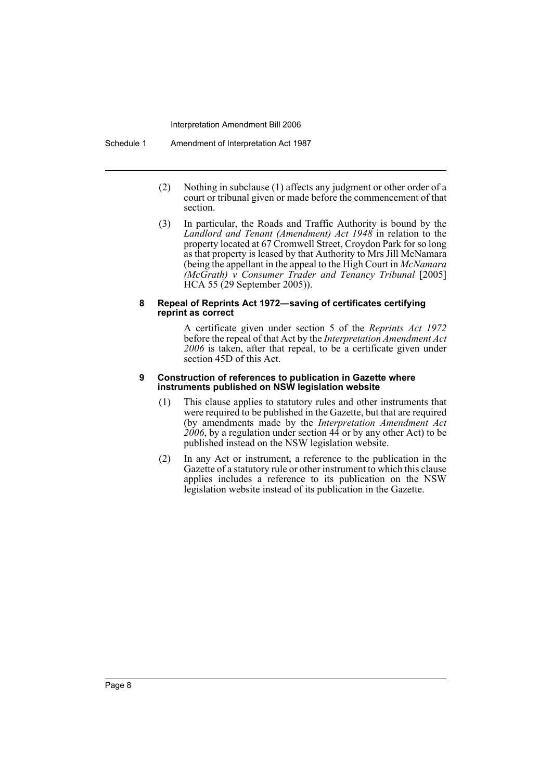Schedule 1 Amendment of Interpretation Act 1987

- (2) Nothing in subclause (1) affects any judgment or other order of a court or tribunal given or made before the commencement of that section.
- (3) In particular, the Roads and Traffic Authority is bound by the *Landlord and Tenant (Amendment) Act 1948* in relation to the property located at 67 Cromwell Street, Croydon Park for so long as that property is leased by that Authority to Mrs Jill McNamara (being the appellant in the appeal to the High Court in *McNamara (McGrath) v Consumer Trader and Tenancy Tribunal* [2005] HCA 55 (29 September 2005)).

#### **8 Repeal of Reprints Act 1972—saving of certificates certifying reprint as correct**

A certificate given under section 5 of the *Reprints Act 1972* before the repeal of that Act by the *Interpretation Amendment Act 2006* is taken, after that repeal, to be a certificate given under section 45D of this Act.

#### **9 Construction of references to publication in Gazette where instruments published on NSW legislation website**

- (1) This clause applies to statutory rules and other instruments that were required to be published in the Gazette, but that are required (by amendments made by the *Interpretation Amendment Act*  $\frac{2006}{5}$ , by a regulation under section  $\frac{44}{5}$  or by any other Act) to be published instead on the NSW legislation website.
- (2) In any Act or instrument, a reference to the publication in the Gazette of a statutory rule or other instrument to which this clause applies includes a reference to its publication on the NSW legislation website instead of its publication in the Gazette.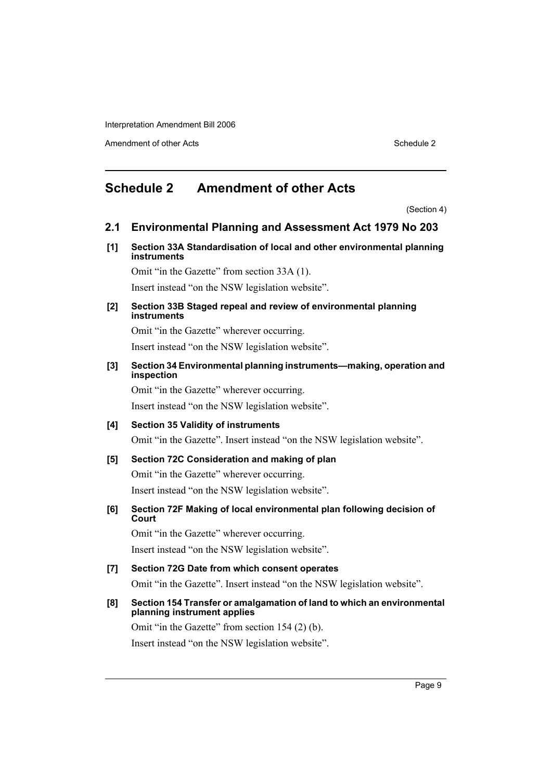Amendment of other Acts **Schedule 2** and the 2 and the 2 and 2 and 2 and 2 and 2 and 2 and 2 and 2 and 2 and 2 and 2 and 2 and 2 and 2 and 2 and 2 and 2 and 2 and 2 and 2 and 2 and 2 and 2 and 2 and 2 and 2 and 2 and 2 and

# <span id="page-9-0"></span>**Schedule 2 Amendment of other Acts**

(Section 4)

# **2.1 Environmental Planning and Assessment Act 1979 No 203**

**[1] Section 33A Standardisation of local and other environmental planning instruments**

Omit "in the Gazette" from section 33A (1).

Insert instead "on the NSW legislation website".

**[2] Section 33B Staged repeal and review of environmental planning instruments**

Omit "in the Gazette" wherever occurring. Insert instead "on the NSW legislation website".

**[3] Section 34 Environmental planning instruments—making, operation and inspection**

Omit "in the Gazette" wherever occurring. Insert instead "on the NSW legislation website".

# **[4] Section 35 Validity of instruments**

Omit "in the Gazette". Insert instead "on the NSW legislation website".

### **[5] Section 72C Consideration and making of plan**

Omit "in the Gazette" wherever occurring. Insert instead "on the NSW legislation website".

**[6] Section 72F Making of local environmental plan following decision of Court**

Omit "in the Gazette" wherever occurring. Insert instead "on the NSW legislation website".

**[7] Section 72G Date from which consent operates** Omit "in the Gazette". Insert instead "on the NSW legislation website".

# **[8] Section 154 Transfer or amalgamation of land to which an environmental planning instrument applies**

Omit "in the Gazette" from section 154 (2) (b). Insert instead "on the NSW legislation website".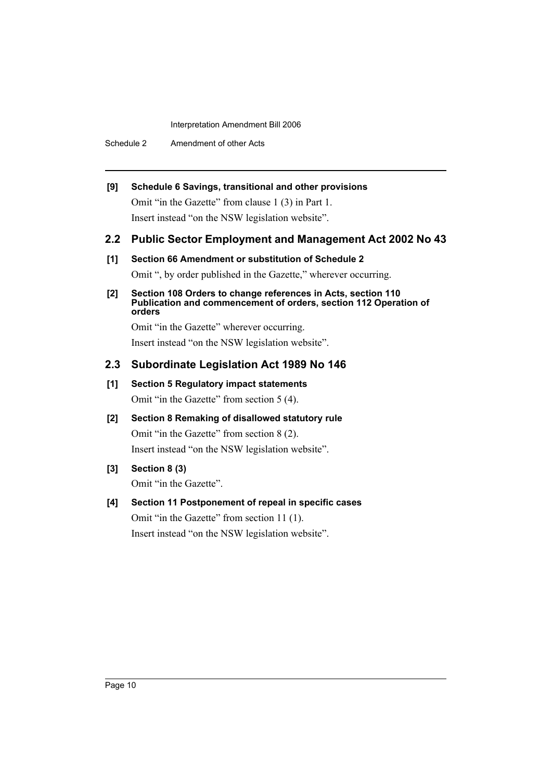Schedule 2 Amendment of other Acts

# **[9] Schedule 6 Savings, transitional and other provisions**

Omit "in the Gazette" from clause 1 (3) in Part 1. Insert instead "on the NSW legislation website".

# **2.2 Public Sector Employment and Management Act 2002 No 43**

## **[1] Section 66 Amendment or substitution of Schedule 2**

Omit ", by order published in the Gazette," wherever occurring.

#### **[2] Section 108 Orders to change references in Acts, section 110 Publication and commencement of orders, section 112 Operation of orders**

Omit "in the Gazette" wherever occurring.

Insert instead "on the NSW legislation website".

# **2.3 Subordinate Legislation Act 1989 No 146**

# **[1] Section 5 Regulatory impact statements**

Omit "in the Gazette" from section 5 (4).

**[2] Section 8 Remaking of disallowed statutory rule** Omit "in the Gazette" from section 8 (2). Insert instead "on the NSW legislation website".

# **[3] Section 8 (3)**

Omit "in the Gazette".

# **[4] Section 11 Postponement of repeal in specific cases**

Omit "in the Gazette" from section 11 (1). Insert instead "on the NSW legislation website".